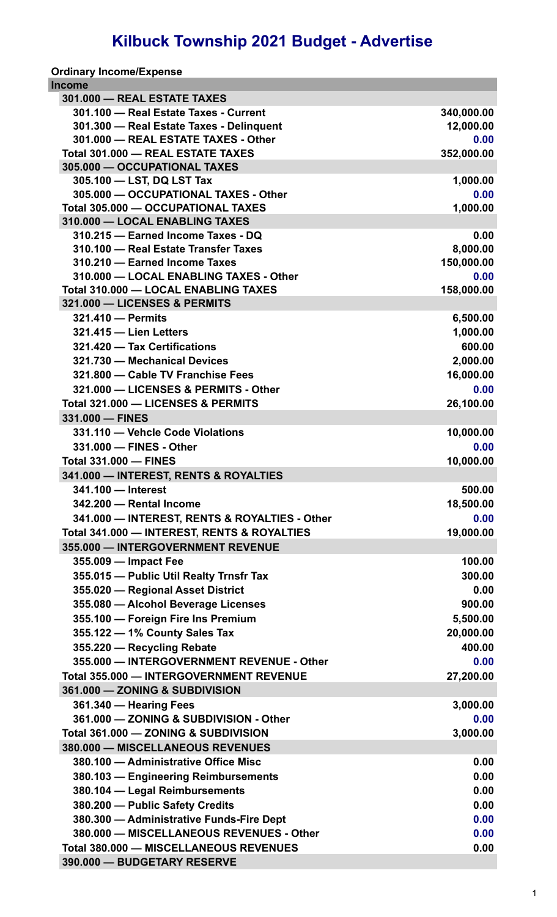## **Kilbuck Township 2021 Budget - Advertise**

|  | <b>Ordinary Income/Expense</b> |
|--|--------------------------------|
|--|--------------------------------|

| Income                                         |            |
|------------------------------------------------|------------|
| 301.000 - REAL ESTATE TAXES                    |            |
| 301.100 - Real Estate Taxes - Current          | 340,000.00 |
| 301.300 - Real Estate Taxes - Delinguent       | 12,000.00  |
| 301.000 - REAL ESTATE TAXES - Other            | 0.00       |
| Total 301.000 - REAL ESTATE TAXES              | 352,000.00 |
| 305.000 - OCCUPATIONAL TAXES                   |            |
| 305.100 - LST, DQ LST Tax                      | 1,000.00   |
| 305.000 - OCCUPATIONAL TAXES - Other           | 0.00       |
| Total 305.000 - OCCUPATIONAL TAXES             | 1,000.00   |
| 310.000 - LOCAL ENABLING TAXES                 |            |
| 310.215 - Earned Income Taxes - DQ             | 0.00       |
| 310.100 - Real Estate Transfer Taxes           | 8,000.00   |
| 310.210 - Earned Income Taxes                  | 150,000.00 |
| 310.000 - LOCAL ENABLING TAXES - Other         | 0.00       |
| Total 310.000 - LOCAL ENABLING TAXES           | 158,000.00 |
| 321.000 - LICENSES & PERMITS                   |            |
| 321.410 - Permits                              | 6,500.00   |
| 321.415 - Lien Letters                         | 1,000.00   |
| 321.420 - Tax Certifications                   | 600.00     |
| 321.730 - Mechanical Devices                   | 2,000.00   |
| 321.800 - Cable TV Franchise Fees              | 16,000.00  |
| 321.000 - LICENSES & PERMITS - Other           | 0.00       |
| Total 321.000 - LICENSES & PERMITS             | 26,100.00  |
| 331.000 - FINES                                |            |
| 331.110 - Vehcle Code Violations               | 10,000.00  |
| 331.000 - FINES - Other                        | 0.00       |
| <b>Total 331.000 - FINES</b>                   | 10,000.00  |
| 341.000 - INTEREST, RENTS & ROYALTIES          |            |
| 341.100 - Interest                             | 500.00     |
| 342.200 - Rental Income                        | 18,500.00  |
| 341.000 - INTEREST, RENTS & ROYALTIES - Other  | 0.00       |
| Total 341.000 - INTEREST, RENTS & ROYALTIES    | 19,000.00  |
| 355.000 - INTERGOVERNMENT REVENUE              |            |
| 355.009 - Impact Fee                           | 100.00     |
| 355.015 - Public Util Realty Trnsfr Tax        | 300.00     |
| 355.020 - Regional Asset District              | 0.00       |
| 355.080 - Alcohol Beverage Licenses            | 900.00     |
| 355.100 - Foreign Fire Ins Premium             | 5,500.00   |
| 355.122 - 1% County Sales Tax                  | 20,000.00  |
| 355.220 - Recycling Rebate                     | 400.00     |
| 355.000 - INTERGOVERNMENT REVENUE - Other      | 0.00       |
| <b>Total 355.000 - INTERGOVERNMENT REVENUE</b> | 27,200.00  |
| 361.000 - ZONING & SUBDIVISION                 |            |
| 361.340 - Hearing Fees                         | 3,000.00   |
| 361.000 - ZONING & SUBDIVISION - Other         | 0.00       |
|                                                |            |
| Total 361.000 - ZONING & SUBDIVISION           | 3,000.00   |
| 380.000 - MISCELLANEOUS REVENUES               |            |
| 380.100 - Administrative Office Misc           | 0.00       |
| 380.103 - Engineering Reimbursements           | 0.00       |
| 380.104 - Legal Reimbursements                 | 0.00       |
| 380.200 - Public Safety Credits                | 0.00       |
| 380.300 - Administrative Funds-Fire Dept       | 0.00       |
| 380.000 - MISCELLANEOUS REVENUES - Other       | 0.00       |
| <b>Total 380.000 - MISCELLANEOUS REVENUES</b>  | 0.00       |
| 390.000 - BUDGETARY RESERVE                    |            |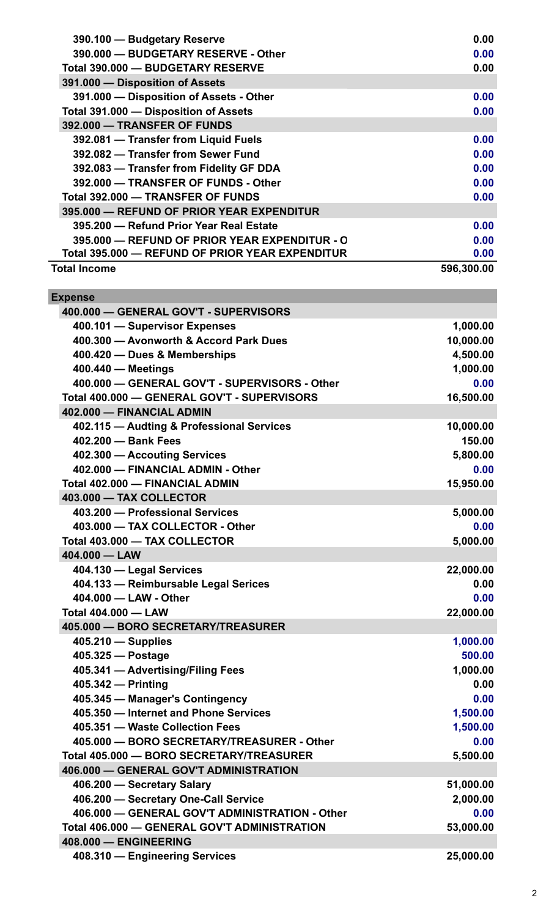| 390.100 - Budgetary Reserve                     | 0.00       |
|-------------------------------------------------|------------|
| 390.000 - BUDGETARY RESERVE - Other             | 0.00       |
| Total 390,000 - BUDGETARY RESERVE               | 0.00       |
| 391.000 - Disposition of Assets                 |            |
| 391.000 - Disposition of Assets - Other         | 0.00       |
| Total 391.000 - Disposition of Assets           | 0.00       |
| 392.000 - TRANSFER OF FUNDS                     |            |
| 392.081 - Transfer from Liquid Fuels            | 0.00       |
| 392.082 - Transfer from Sewer Fund              | 0.00       |
| 392.083 - Transfer from Fidelity GF DDA         | 0.00       |
| 392.000 - TRANSFER OF FUNDS - Other             | 0.00       |
| Total 392.000 - TRANSFER OF FUNDS               | 0.00       |
| 395,000 - REFUND OF PRIOR YEAR EXPENDITUR       |            |
| 395.200 - Refund Prior Year Real Estate         | 0.00       |
| 395,000 - REFUND OF PRIOR YEAR EXPENDITUR - O   | 0.00       |
| Total 395.000 - REFUND OF PRIOR YEAR EXPENDITUR | 0.00       |
| <b>Total Income</b>                             | 596,300.00 |

| <b>Expense</b>                                 |           |
|------------------------------------------------|-----------|
| 400.000 - GENERAL GOV'T - SUPERVISORS          |           |
| 400.101 - Supervisor Expenses                  | 1,000.00  |
| 400.300 - Avonworth & Accord Park Dues         | 10,000.00 |
| 400.420 - Dues & Memberships                   | 4,500.00  |
| 400.440 - Meetings                             | 1,000.00  |
| 400.000 - GENERAL GOV'T - SUPERVISORS - Other  | 0.00      |
| Total 400.000 - GENERAL GOV'T - SUPERVISORS    | 16,500.00 |
| 402.000 - FINANCIAL ADMIN                      |           |
| 402.115 - Audting & Professional Services      | 10,000.00 |
| 402.200 - Bank Fees                            | 150.00    |
| 402.300 - Accouting Services                   | 5,800.00  |
| 402.000 - FINANCIAL ADMIN - Other              | 0.00      |
| Total 402.000 - FINANCIAL ADMIN                | 15,950.00 |
| 403.000 - TAX COLLECTOR                        |           |
| 403.200 - Professional Services                | 5,000.00  |
| 403.000 - TAX COLLECTOR - Other                | 0.00      |
| Total 403.000 - TAX COLLECTOR                  | 5,000.00  |
| 404.000 - LAW                                  |           |
| 404.130 - Legal Services                       | 22,000.00 |
| 404.133 - Reimbursable Legal Serices           | 0.00      |
| 404.000 - LAW - Other                          | 0.00      |
| <b>Total 404.000 - LAW</b>                     | 22,000.00 |
| 405.000 - BORO SECRETARY/TREASURER             |           |
| $405.210$ - Supplies                           | 1,000.00  |
| 405.325 - Postage                              | 500.00    |
| 405.341 - Advertising/Filing Fees              | 1,000.00  |
| 405.342 - Printing                             | 0.00      |
| 405.345 - Manager's Contingency                | 0.00      |
| 405.350 - Internet and Phone Services          | 1,500.00  |
| 405.351 - Waste Collection Fees                | 1,500.00  |
| 405.000 - BORO SECRETARY/TREASURER - Other     | 0.00      |
| Total 405.000 - BORO SECRETARY/TREASURER       | 5,500.00  |
| 406.000 - GENERAL GOV'T ADMINISTRATION         |           |
| 406.200 - Secretary Salary                     | 51,000.00 |
| 406.200 - Secretary One-Call Service           | 2,000.00  |
| 406.000 - GENERAL GOV'T ADMINISTRATION - Other | 0.00      |
| Total 406.000 - GENERAL GOV'T ADMINISTRATION   | 53,000.00 |
| 408.000 - ENGINEERING                          |           |
| 408.310 - Engineering Services                 | 25,000.00 |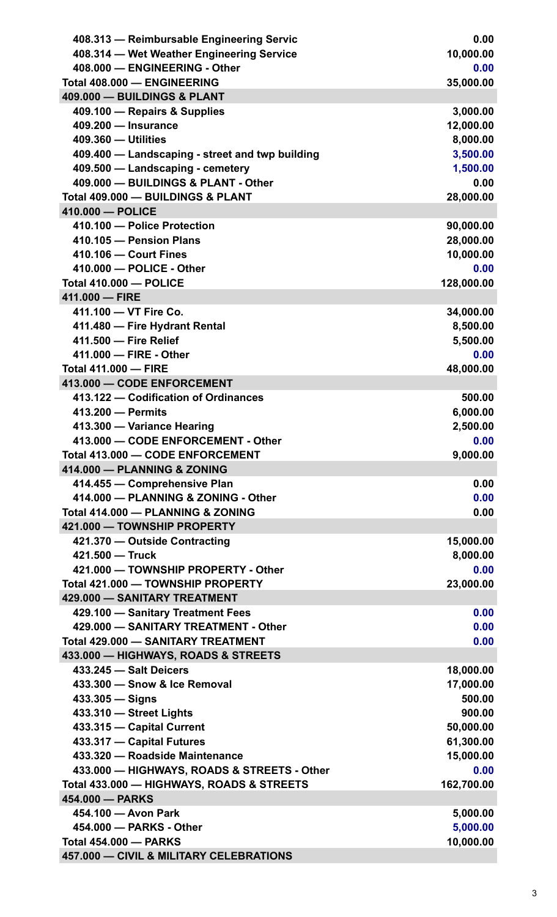| 408.313 - Reimbursable Engineering Servic       | 0.00       |
|-------------------------------------------------|------------|
| 408.314 - Wet Weather Engineering Service       | 10,000.00  |
| 408.000 - ENGINEERING - Other                   | 0.00       |
| Total 408.000 - ENGINEERING                     | 35,000.00  |
| 409.000 - BUILDINGS & PLANT                     |            |
| 409.100 - Repairs & Supplies                    | 3,000.00   |
| 409.200 - Insurance                             | 12,000.00  |
| 409.360 - Utilities                             | 8,000.00   |
| 409.400 - Landscaping - street and twp building | 3,500.00   |
| 409.500 - Landscaping - cemetery                | 1,500.00   |
| 409.000 - BUILDINGS & PLANT - Other             | 0.00       |
| Total 409.000 - BUILDINGS & PLANT               | 28,000.00  |
| 410.000 - POLICE                                |            |
| 410.100 - Police Protection                     | 90,000.00  |
| 410.105 - Pension Plans                         | 28,000.00  |
| 410.106 - Court Fines                           | 10,000.00  |
| 410.000 - POLICE - Other                        | 0.00       |
| Total 410.000 - POLICE                          | 128,000.00 |
| 411,000 - FIRE                                  |            |
| 411.100 - VT Fire Co.                           | 34,000.00  |
| 411.480 - Fire Hydrant Rental                   | 8,500.00   |
| 411.500 - Fire Relief                           | 5,500.00   |
| 411.000 - FIRE - Other                          | 0.00       |
| <b>Total 411.000 - FIRE</b>                     | 48,000.00  |
| 413.000 - CODE ENFORCEMENT                      |            |
| 413.122 - Codification of Ordinances            | 500.00     |
| 413.200 - Permits                               | 6,000.00   |
| 413.300 - Variance Hearing                      | 2,500.00   |
| 413.000 - CODE ENFORCEMENT - Other              | 0.00       |
| Total 413.000 - CODE ENFORCEMENT                | 9,000.00   |
| 414.000 - PLANNING & ZONING                     |            |
| 414.455 - Comprehensive Plan                    | 0.00       |
| 414.000 - PLANNING & ZONING - Other             | 0.00       |
| Total 414.000 - PLANNING & ZONING               | 0.00       |
| 421.000 - TOWNSHIP PROPERTY                     |            |
| 421.370 - Outside Contracting                   | 15,000.00  |
| 421.500 - Truck                                 | 8,000.00   |
| 421.000 - TOWNSHIP PROPERTY - Other             | 0.00       |
| Total 421.000 - TOWNSHIP PROPERTY               | 23,000.00  |
| 429.000 - SANITARY TREATMENT                    |            |
| 429.100 - Sanitary Treatment Fees               | 0.00       |
| 429.000 - SANITARY TREATMENT - Other            | 0.00       |
| Total 429.000 - SANITARY TREATMENT              | 0.00       |
| 433.000 - HIGHWAYS, ROADS & STREETS             |            |
| 433.245 - Salt Deicers                          | 18,000.00  |
| 433.300 - Snow & Ice Removal                    | 17,000.00  |
| $433.305 -$ Signs                               | 500.00     |
| 433.310 - Street Lights                         | 900.00     |
| 433.315 - Capital Current                       | 50,000.00  |
| 433.317 - Capital Futures                       | 61,300.00  |
| 433.320 - Roadside Maintenance                  | 15,000.00  |
| 433.000 - HIGHWAYS, ROADS & STREETS - Other     | 0.00       |
| Total 433.000 - HIGHWAYS, ROADS & STREETS       | 162,700.00 |
| 454.000 - PARKS                                 |            |
| 454.100 - Avon Park                             | 5,000.00   |
| 454.000 - PARKS - Other                         | 5,000.00   |
| <b>Total 454,000 - PARKS</b>                    | 10,000.00  |
| 457.000 - CIVIL & MILITARY CELEBRATIONS         |            |